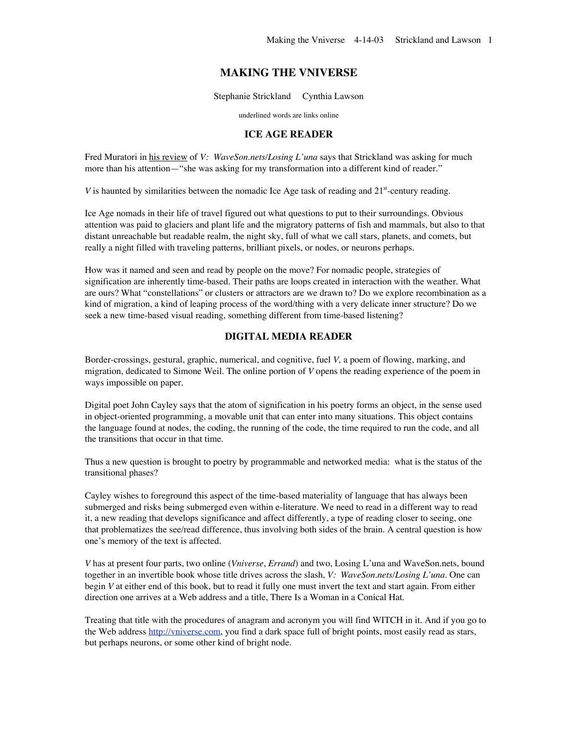# **MAKING THE VNIVERSE**

Stephanie Strickland Cynthia Lawson

underlined words are links online

### **ICE AGE READER**

Fred Muratori in his review of *V: WaveSon.nets/Losing L'una* says that Strickland was asking for much more than his attention—"she was asking for my transformation into a different kind of reader."

*V* is haunted by similarities between the nomadic Ice Age task of reading and 21<sup>st</sup>-century reading.

Ice Age nomads in their life of travel figured out what questions to put to their surroundings. Obvious attention was paid to glaciers and plant life and the migratory patterns of fish and mammals, but also to that distant unreachable but readable realm, the night sky, full of what we call stars, planets, and comets, but really a night filled with traveling patterns, brilliant pixels, or nodes, or neurons perhaps.

How was it named and seen and read by people on the move? For nomadic people, strategies of signification are inherently time-based. Their paths are loops created in interaction with the weather. What are ours? What "constellations" or clusters or attractors are we drawn to? Do we explore recombination as a kind of migration, a kind of leaping process of the word/thing with a very delicate inner structure? Do we seek a new time-based visual reading, something different from time-based listening?

### **DIGITAL MEDIA READER**

Border-crossings, gestural, graphic, numerical, and cognitive, fuel *V,* a poem of flowing, marking, and migration, dedicated to Simone Weil. The online portion of *V* opens the reading experience of the poem in ways impossible on paper.

Digital poet John Cayley says that the atom of signification in his poetry forms an object, in the sense used in object-oriented programming, a movable unit that can enter into many situations. This object contains the language found at nodes, the coding, the running of the code, the time required to run the code, and all the transitions that occur in that time.

Thus a new question is brought to poetry by programmable and networked media: what is the status of the transitional phases?

Cayley wishes to foreground this aspect of the time-based materiality of language that has always been submerged and risks being submerged even within e-literature. We need to read in a different way to read it, a new reading that develops significance and affect differently, a type of reading closer to seeing, one that problematizes the see/read difference, thus involving both sides of the brain. A central question is how one's memory of the text is affected.

*V* has at present four parts, two online (*Vniverse*, *Errand*) and two, Losing L'una and WaveSon.nets, bound together in an invertible book whose title drives across the slash, *V: WaveSon.nets/Losing L'una.* One can begin *V* at either end of this book, but to read it fully one must invert the text and start again. From either direction one arrives at a Web address and a title, There Is a Woman in a Conical Hat.

Treating that title with the procedures of anagram and acronym you will find WITCH in it. And if you go to the Web address http://vniverse.com, you find a dark space full of bright points, most easily read as stars, but perhaps neurons, or some other kind of bright node.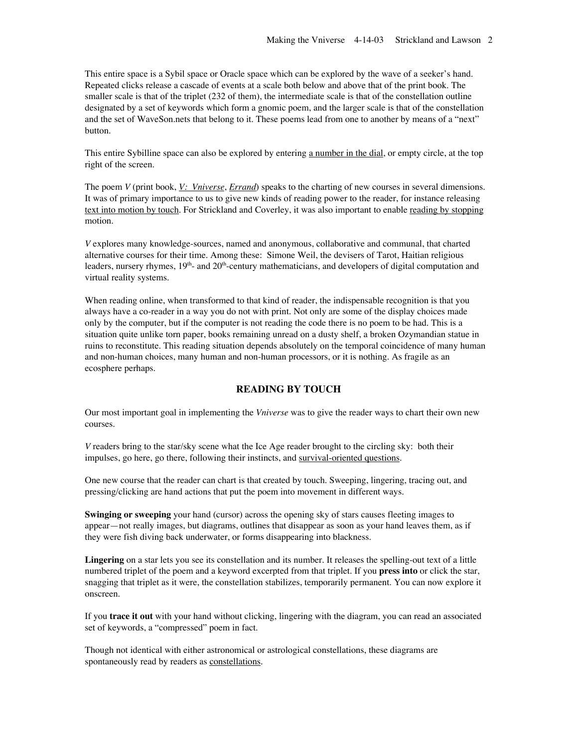This entire space is a Sybil space or Oracle space which can be explored by the wave of a seeker's hand. Repeated clicks release a cascade of events at a scale both below and above that of the print book. The smaller scale is that of the triplet (232 of them), the intermediate scale is that of the constellation outline designated by a set of keywords which form a gnomic poem, and the larger scale is that of the constellation and the set of WaveSon.nets that belong to it. These poems lead from one to another by means of a "next" button.

This entire Sybilline space can also be explored by entering a number in the dial, or empty circle, at the top right of the screen.

The poem *V* (print book, *V: Vniverse*, *Errand*) speaks to the charting of new courses in several dimensions. It was of primary importance to us to give new kinds of reading power to the reader, for instance releasing text into motion by touch. For Strickland and Coverley, it was also important to enable reading by stopping motion.

*V* explores many knowledge-sources, named and anonymous, collaborative and communal, that charted alternative courses for their time. Among these: Simone Weil, the devisers of Tarot, Haitian religious leaders, nursery rhymes,  $19<sup>th</sup>$  and  $20<sup>th</sup>$ -century mathematicians, and developers of digital computation and virtual reality systems.

When reading online, when transformed to that kind of reader, the indispensable recognition is that you always have a co-reader in a way you do not with print. Not only are some of the display choices made only by the computer, but if the computer is not reading the code there is no poem to be had. This is a situation quite unlike torn paper, books remaining unread on a dusty shelf, a broken Ozymandian statue in ruins to reconstitute. This reading situation depends absolutely on the temporal coincidence of many human and non-human choices, many human and non-human processors, or it is nothing. As fragile as an ecosphere perhaps.

# **READING BY TOUCH**

Our most important goal in implementing the *Vniverse* was to give the reader ways to chart their own new courses.

*V* readers bring to the star/sky scene what the Ice Age reader brought to the circling sky: both their impulses, go here, go there, following their instincts, and survival-oriented questions.

One new course that the reader can chart is that created by touch. Sweeping, lingering, tracing out, and pressing/clicking are hand actions that put the poem into movement in different ways.

**Swinging or sweeping** your hand (cursor) across the opening sky of stars causes fleeting images to appear—not really images, but diagrams, outlines that disappear as soon as your hand leaves them, as if they were fish diving back underwater, or forms disappearing into blackness.

**Lingering** on a star lets you see its constellation and its number. It releases the spelling-out text of a little numbered triplet of the poem and a keyword excerpted from that triplet. If you **press into** or click the star, snagging that triplet as it were, the constellation stabilizes, temporarily permanent. You can now explore it onscreen.

If you **trace it out** with your hand without clicking, lingering with the diagram, you can read an associated set of keywords, a "compressed" poem in fact.

Though not identical with either astronomical or astrological constellations, these diagrams are spontaneously read by readers as constellations.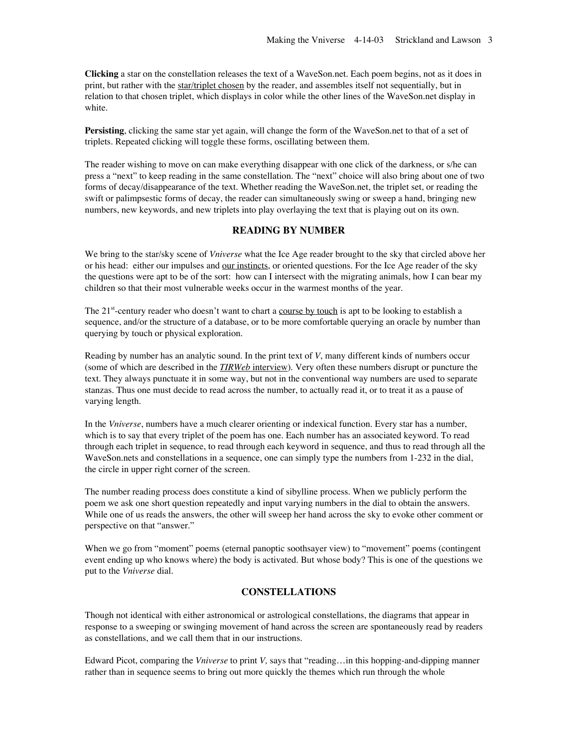**Clicking** a star on the constellation releases the text of a WaveSon.net. Each poem begins, not as it does in print, but rather with the star/triplet chosen by the reader, and assembles itself not sequentially, but in relation to that chosen triplet, which displays in color while the other lines of the WaveSon.net display in white.

**Persisting**, clicking the same star yet again, will change the form of the WaveSon.net to that of a set of triplets. Repeated clicking will toggle these forms, oscillating between them.

The reader wishing to move on can make everything disappear with one click of the darkness, or s/he can press a "next" to keep reading in the same constellation. The "next" choice will also bring about one of two forms of decay/disappearance of the text. Whether reading the WaveSon.net, the triplet set, or reading the swift or palimpsestic forms of decay, the reader can simultaneously swing or sweep a hand, bringing new numbers, new keywords, and new triplets into play overlaying the text that is playing out on its own.

### **READING BY NUMBER**

We bring to the star/sky scene of *Vniverse* what the Ice Age reader brought to the sky that circled above her or his head: either our impulses and <u>our instincts</u>, or oriented questions. For the Ice Age reader of the sky the questions were apt to be of the sort: how can I intersect with the migrating animals, how I can bear my children so that their most vulnerable weeks occur in the warmest months of the year.

The  $21^{st}$ -century reader who doesn't want to chart a course by touch is apt to be looking to establish a sequence, and/or the structure of a database, or to be more comfortable querying an oracle by number than querying by touch or physical exploration.

Reading by number has an analytic sound. In the print text of *V*, many different kinds of numbers occur (some of which are described in the *TIRWeb* interview). Very often these numbers disrupt or puncture the text. They always punctuate it in some way, but not in the conventional way numbers are used to separate stanzas. Thus one must decide to read across the number, to actually read it, or to treat it as a pause of varying length.

In the *Vniverse*, numbers have a much clearer orienting or indexical function. Every star has a number, which is to say that every triplet of the poem has one. Each number has an associated keyword. To read through each triplet in sequence, to read through each keyword in sequence, and thus to read through all the WaveSon.nets and constellations in a sequence, one can simply type the numbers from 1-232 in the dial, the circle in upper right corner of the screen.

The number reading process does constitute a kind of sibylline process. When we publicly perform the poem we ask one short question repeatedly and input varying numbers in the dial to obtain the answers. While one of us reads the answers, the other will sweep her hand across the sky to evoke other comment or perspective on that "answer."

When we go from "moment" poems (eternal panoptic soothsayer view) to "movement" poems (contingent event ending up who knows where) the body is activated. But whose body? This is one of the questions we put to the *Vniverse* dial.

### **CONSTELLATIONS**

Though not identical with either astronomical or astrological constellations, the diagrams that appear in response to a sweeping or swinging movement of hand across the screen are spontaneously read by readers as constellations, and we call them that in our instructions.

Edward Picot, comparing the *Vniverse* to print *V,* says that "reading…in this hopping-and-dipping manner rather than in sequence seems to bring out more quickly the themes which run through the whole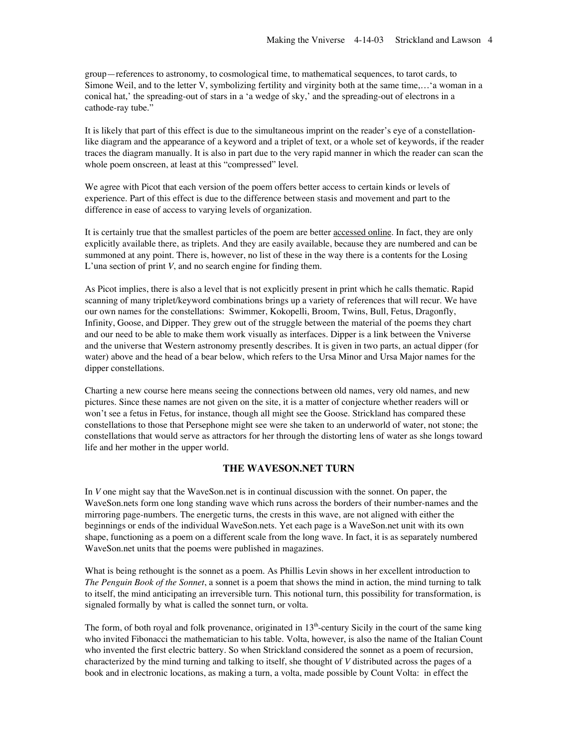group—references to astronomy, to cosmological time, to mathematical sequences, to tarot cards, to Simone Weil, and to the letter V, symbolizing fertility and virginity both at the same time,…'a woman in a conical hat,' the spreading-out of stars in a 'a wedge of sky,' and the spreading-out of electrons in a cathode-ray tube."

It is likely that part of this effect is due to the simultaneous imprint on the reader's eye of a constellationlike diagram and the appearance of a keyword and a triplet of text, or a whole set of keywords, if the reader traces the diagram manually. It is also in part due to the very rapid manner in which the reader can scan the whole poem onscreen, at least at this "compressed" level.

We agree with Picot that each version of the poem offers better access to certain kinds or levels of experience. Part of this effect is due to the difference between stasis and movement and part to the difference in ease of access to varying levels of organization.

It is certainly true that the smallest particles of the poem are better **accessed online**. In fact, they are only explicitly available there, as triplets. And they are easily available, because they are numbered and can be summoned at any point. There is, however, no list of these in the way there is a contents for the Losing L'una section of print *V*, and no search engine for finding them.

As Picot implies, there is also a level that is not explicitly present in print which he calls thematic. Rapid scanning of many triplet/keyword combinations brings up a variety of references that will recur. We have our own names for the constellations: Swimmer, Kokopelli, Broom, Twins, Bull, Fetus, Dragonfly, Infinity, Goose, and Dipper. They grew out of the struggle between the material of the poems they chart and our need to be able to make them work visually as interfaces. Dipper is a link between the Vniverse and the universe that Western astronomy presently describes. It is given in two parts, an actual dipper (for water) above and the head of a bear below, which refers to the Ursa Minor and Ursa Major names for the dipper constellations.

Charting a new course here means seeing the connections between old names, very old names, and new pictures. Since these names are not given on the site, it is a matter of conjecture whether readers will or won't see a fetus in Fetus, for instance, though all might see the Goose. Strickland has compared these constellations to those that Persephone might see were she taken to an underworld of water, not stone; the constellations that would serve as attractors for her through the distorting lens of water as she longs toward life and her mother in the upper world.

### **THE WAVESON.NET TURN**

In *V* one might say that the WaveSon.net is in continual discussion with the sonnet. On paper, the WaveSon.nets form one long standing wave which runs across the borders of their number-names and the mirroring page-numbers. The energetic turns, the crests in this wave, are not aligned with either the beginnings or ends of the individual WaveSon.nets. Yet each page is a WaveSon.net unit with its own shape, functioning as a poem on a different scale from the long wave. In fact, it is as separately numbered WaveSon.net units that the poems were published in magazines.

What is being rethought is the sonnet as a poem. As Phillis Levin shows in her excellent introduction to *The Penguin Book of the Sonnet*, a sonnet is a poem that shows the mind in action, the mind turning to talk to itself, the mind anticipating an irreversible turn. This notional turn, this possibility for transformation, is signaled formally by what is called the sonnet turn, or volta.

The form, of both royal and folk provenance, originated in  $13<sup>th</sup>$ -century Sicily in the court of the same king who invited Fibonacci the mathematician to his table. Volta, however, is also the name of the Italian Count who invented the first electric battery. So when Strickland considered the sonnet as a poem of recursion, characterized by the mind turning and talking to itself, she thought of *V* distributed across the pages of a book and in electronic locations, as making a turn, a volta, made possible by Count Volta: in effect the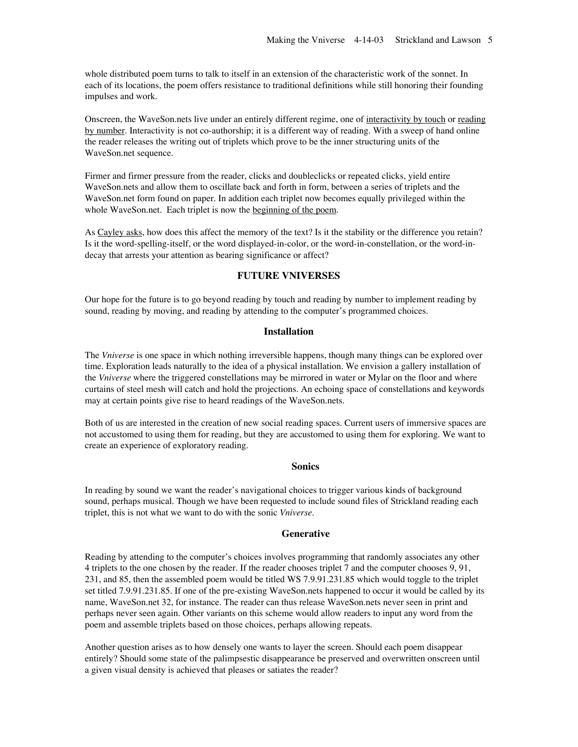whole distributed poem turns to talk to itself in an extension of the characteristic work of the sonnet. In each of its locations, the poem offers resistance to traditional definitions while still honoring their founding impulses and work.

Onscreen, the WaveSon.nets live under an entirely different regime, one of interactivity by touch or reading by number. Interactivity is not co-authorship; it is a different way of reading. With a sweep of hand online the reader releases the writing out of triplets which prove to be the inner structuring units of the WaveSon.net sequence.

Firmer and firmer pressure from the reader, clicks and doubleclicks or repeated clicks, yield entire WaveSon.nets and allow them to oscillate back and forth in form, between a series of triplets and the WaveSon.net form found on paper. In addition each triplet now becomes equally privileged within the whole WaveSon.net. Each triplet is now the beginning of the poem.

As Cayley asks, how does this affect the memory of the text? Is it the stability or the difference you retain? Is it the word-spelling-itself, or the word displayed-in-color, or the word-in-constellation, or the word-indecay that arrests your attention as bearing significance or affect?

### **FUTURE VNIVERSES**

Our hope for the future is to go beyond reading by touch and reading by number to implement reading by sound, reading by moving, and reading by attending to the computer's programmed choices.

#### **Installation**

The *Vniverse* is one space in which nothing irreversible happens, though many things can be explored over time. Exploration leads naturally to the idea of a physical installation. We envision a gallery installation of the *Vniverse* where the triggered constellations may be mirrored in water or Mylar on the floor and where curtains of steel mesh will catch and hold the projections. An echoing space of constellations and keywords may at certain points give rise to heard readings of the WaveSon.nets.

Both of us are interested in the creation of new social reading spaces. Current users of immersive spaces are not accustomed to using them for reading, but they are accustomed to using them for exploring. We want to create an experience of exploratory reading.

### **Sonics**

In reading by sound we want the reader's navigational choices to trigger various kinds of background sound, perhaps musical. Though we have been requested to include sound files of Strickland reading each triplet, this is not what we want to do with the sonic *Vniverse*.

#### **Generative**

Reading by attending to the computer's choices involves programming that randomly associates any other 4 triplets to the one chosen by the reader. If the reader chooses triplet 7 and the computer chooses 9, 91, 231, and 85, then the assembled poem would be titled WS 7.9.91.231.85 which would toggle to the triplet set titled 7.9.91.231.85. If one of the pre-existing WaveSon.nets happened to occur it would be called by its name, WaveSon.net 32, for instance. The reader can thus release WaveSon.nets never seen in print and perhaps never seen again. Other variants on this scheme would allow readers to input any word from the poem and assemble triplets based on those choices, perhaps allowing repeats.

Another question arises as to how densely one wants to layer the screen. Should each poem disappear entirely? Should some state of the palimpsestic disappearance be preserved and overwritten onscreen until a given visual density is achieved that pleases or satiates the reader?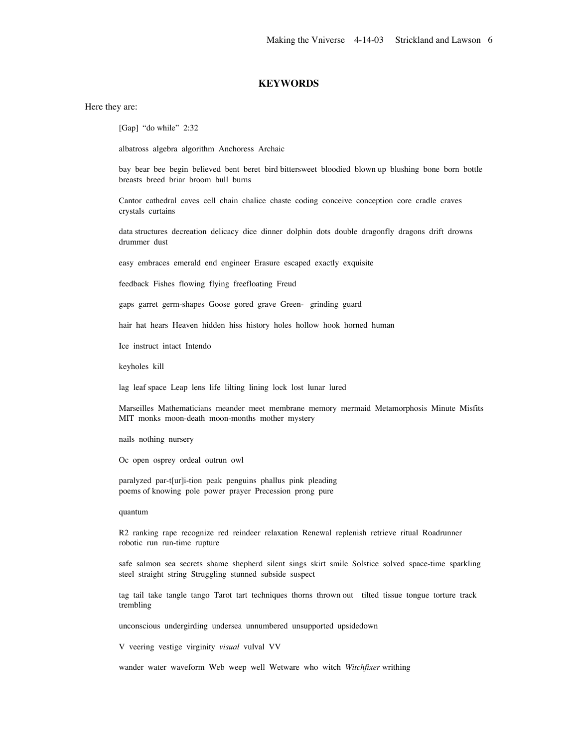# **KEYWORDS**

Here they are:

[Gap] "do while" 2:32

albatross algebra algorithm Anchoress Archaic

bay bear bee begin believed bent beret bird bittersweet bloodied blown up blushing bone born bottle breasts breed briar broom bull burns

Cantor cathedral caves cell chain chalice chaste coding conceive conception core cradle craves crystals curtains

data structures decreation delicacy dice dinner dolphin dots double dragonfly dragons drift drowns drummer dust

easy embraces emerald end engineer Erasure escaped exactly exquisite

feedback Fishes flowing flying freefloating Freud

gaps garret germ-shapes Goose gored grave Green- grinding guard

hair hat hears Heaven hidden hiss history holes hollow hook horned human

Ice instruct intact Intendo

keyholes kill

lag leaf space Leap lens life lilting lining lock lost lunar lured

Marseilles Mathematicians meander meet membrane memory mermaid Metamorphosis Minute Misfits MIT monks moon-death moon-months mother mystery

nails nothing nursery

Oc open osprey ordeal outrun owl

paralyzed par-t[ur]i-tion peak penguins phallus pink pleading poems of knowing pole power prayer Precession prong pure

#### quantum

R2 ranking rape recognize red reindeer relaxation Renewal replenish retrieve ritual Roadrunner robotic run run-time rupture

safe salmon sea secrets shame shepherd silent sings skirt smile Solstice solved space-time sparkling steel straight string Struggling stunned subside suspect

tag tail take tangle tango Tarot tart techniques thorns thrown out tilted tissue tongue torture track trembling

unconscious undergirding undersea unnumbered unsupported upsidedown

V veering vestige virginity *visual* vulval VV

wander water waveform Web weep well Wetware who witch *Witchfixer* writhing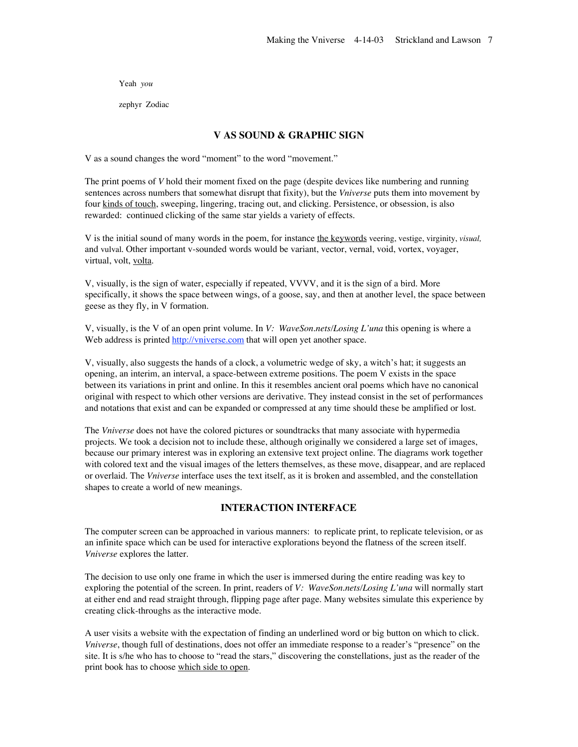Yeah *you*

zephyr Zodiac

# **V AS SOUND & GRAPHIC SIGN**

V as a sound changes the word "moment" to the word "movement."

The print poems of *V* hold their moment fixed on the page (despite devices like numbering and running sentences across numbers that somewhat disrupt that fixity), but the *Vniverse* puts them into movement by four kinds of touch, sweeping, lingering, tracing out, and clicking. Persistence, or obsession, is also rewarded: continued clicking of the same star yields a variety of effects.

V is the initial sound of many words in the poem, for instance the keywords veering, vestige, virginity, *visual,* and vulval. Other important v-sounded words would be variant, vector, vernal, void, vortex, voyager, virtual, volt, volta.

V, visually, is the sign of water, especially if repeated, VVVV, and it is the sign of a bird. More specifically, it shows the space between wings, of a goose, say, and then at another level, the space between geese as they fly, in V formation.

V, visually, is the V of an open print volume. In *V: WaveSon.nets/Losing L'una* this opening is where a Web address is printed http://vniverse.com that will open yet another space.

V, visually, also suggests the hands of a clock, a volumetric wedge of sky, a witch's hat; it suggests an opening, an interim, an interval, a space-between extreme positions. The poem V exists in the space between its variations in print and online. In this it resembles ancient oral poems which have no canonical original with respect to which other versions are derivative. They instead consist in the set of performances and notations that exist and can be expanded or compressed at any time should these be amplified or lost.

The *Vniverse* does not have the colored pictures or soundtracks that many associate with hypermedia projects. We took a decision not to include these, although originally we considered a large set of images, because our primary interest was in exploring an extensive text project online. The diagrams work together with colored text and the visual images of the letters themselves, as these move, disappear, and are replaced or overlaid. The *Vniverse* interface uses the text itself, as it is broken and assembled, and the constellation shapes to create a world of new meanings.

## **INTERACTION INTERFACE**

The computer screen can be approached in various manners: to replicate print, to replicate television, or as an infinite space which can be used for interactive explorations beyond the flatness of the screen itself. *Vniverse* explores the latter.

The decision to use only one frame in which the user is immersed during the entire reading was key to exploring the potential of the screen. In print, readers of *V: WaveSon.nets/Losing L'una* will normally start at either end and read straight through, flipping page after page. Many websites simulate this experience by creating click-throughs as the interactive mode.

A user visits a website with the expectation of finding an underlined word or big button on which to click. *Vniverse*, though full of destinations, does not offer an immediate response to a reader's "presence" on the site. It is s/he who has to choose to "read the stars," discovering the constellations, just as the reader of the print book has to choose which side to open.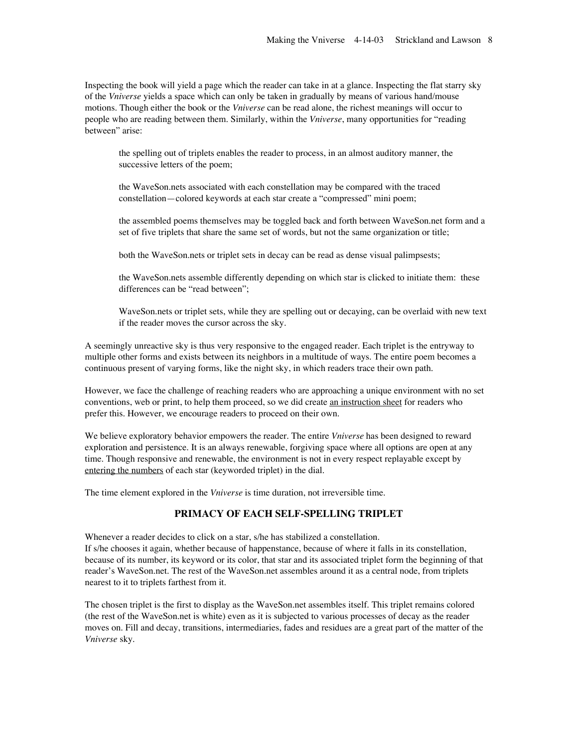Inspecting the book will yield a page which the reader can take in at a glance. Inspecting the flat starry sky of the *Vniverse* yields a space which can only be taken in gradually by means of various hand/mouse motions. Though either the book or the *Vniverse* can be read alone, the richest meanings will occur to people who are reading between them. Similarly, within the *Vniverse*, many opportunities for "reading between" arise:

the spelling out of triplets enables the reader to process, in an almost auditory manner, the successive letters of the poem;

the WaveSon.nets associated with each constellation may be compared with the traced constellation—colored keywords at each star create a "compressed" mini poem;

the assembled poems themselves may be toggled back and forth between WaveSon.net form and a set of five triplets that share the same set of words, but not the same organization or title;

both the WaveSon.nets or triplet sets in decay can be read as dense visual palimpsests;

the WaveSon.nets assemble differently depending on which star is clicked to initiate them: these differences can be "read between";

WaveSon.nets or triplet sets, while they are spelling out or decaying, can be overlaid with new text if the reader moves the cursor across the sky.

A seemingly unreactive sky is thus very responsive to the engaged reader. Each triplet is the entryway to multiple other forms and exists between its neighbors in a multitude of ways. The entire poem becomes a continuous present of varying forms, like the night sky, in which readers trace their own path.

However, we face the challenge of reaching readers who are approaching a unique environment with no set conventions, web or print, to help them proceed, so we did create an instruction sheet for readers who prefer this. However, we encourage readers to proceed on their own.

We believe exploratory behavior empowers the reader. The entire *Vniverse* has been designed to reward exploration and persistence. It is an always renewable, forgiving space where all options are open at any time. Though responsive and renewable, the environment is not in every respect replayable except by entering the numbers of each star (keyworded triplet) in the dial.

The time element explored in the *Vniverse* is time duration, not irreversible time.

# **PRIMACY OF EACH SELF-SPELLING TRIPLET**

Whenever a reader decides to click on a star, s/he has stabilized a constellation. If s/he chooses it again, whether because of happenstance, because of where it falls in its constellation, because of its number, its keyword or its color, that star and its associated triplet form the beginning of that reader's WaveSon.net. The rest of the WaveSon.net assembles around it as a central node, from triplets nearest to it to triplets farthest from it.

The chosen triplet is the first to display as the WaveSon.net assembles itself. This triplet remains colored (the rest of the WaveSon.net is white) even as it is subjected to various processes of decay as the reader moves on. Fill and decay, transitions, intermediaries, fades and residues are a great part of the matter of the *Vniverse* sky.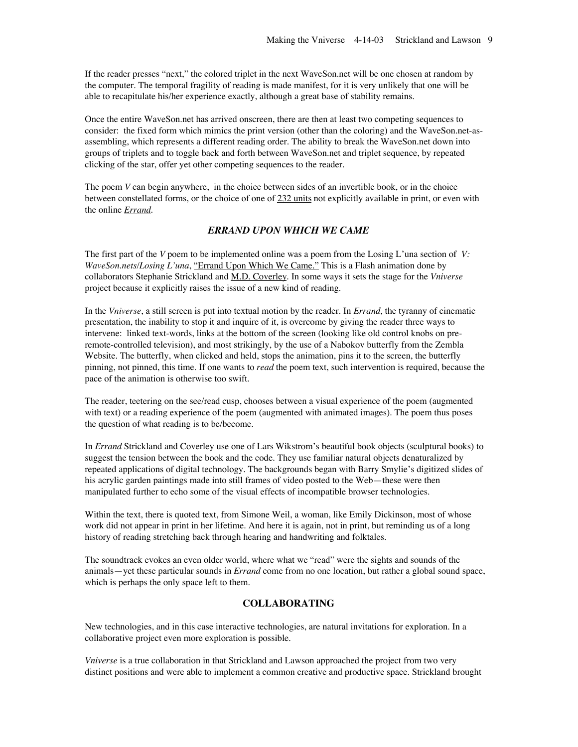If the reader presses "next," the colored triplet in the next WaveSon.net will be one chosen at random by the computer. The temporal fragility of reading is made manifest, for it is very unlikely that one will be able to recapitulate his/her experience exactly, although a great base of stability remains.

Once the entire WaveSon.net has arrived onscreen, there are then at least two competing sequences to consider: the fixed form which mimics the print version (other than the coloring) and the WaveSon.net-asassembling, which represents a different reading order. The ability to break the WaveSon.net down into groups of triplets and to toggle back and forth between WaveSon.net and triplet sequence, by repeated clicking of the star, offer yet other competing sequences to the reader.

The poem *V* can begin anywhere, in the choice between sides of an invertible book, or in the choice between constellated forms, or the choice of one of 232 units not explicitly available in print, or even with the online *Errand.*

### *ERRAND UPON WHICH WE CAME*

The first part of the *V* poem to be implemented online was a poem from the Losing L'una section of *V: WaveSon.nets/Losing L'una*, "Errand Upon Which We Came." This is a Flash animation done by collaborators Stephanie Strickland and M.D. Coverley. In some ways it sets the stage for the *Vniverse* project because it explicitly raises the issue of a new kind of reading.

In the *Vniverse*, a still screen is put into textual motion by the reader. In *Errand*, the tyranny of cinematic presentation, the inability to stop it and inquire of it, is overcome by giving the reader three ways to intervene: linked text-words, links at the bottom of the screen (looking like old control knobs on preremote-controlled television), and most strikingly, by the use of a Nabokov butterfly from the Zembla Website. The butterfly, when clicked and held, stops the animation, pins it to the screen, the butterfly pinning, not pinned, this time. If one wants to *read* the poem text, such intervention is required, because the pace of the animation is otherwise too swift.

The reader, teetering on the see/read cusp, chooses between a visual experience of the poem (augmented with text) or a reading experience of the poem (augmented with animated images). The poem thus poses the question of what reading is to be/become.

In *Errand* Strickland and Coverley use one of Lars Wikstrom's beautiful book objects (sculptural books) to suggest the tension between the book and the code. They use familiar natural objects denaturalized by repeated applications of digital technology. The backgrounds began with Barry Smylie's digitized slides of his acrylic garden paintings made into still frames of video posted to the Web—these were then manipulated further to echo some of the visual effects of incompatible browser technologies.

Within the text, there is quoted text, from Simone Weil, a woman, like Emily Dickinson, most of whose work did not appear in print in her lifetime. And here it is again, not in print, but reminding us of a long history of reading stretching back through hearing and handwriting and folktales.

The soundtrack evokes an even older world, where what we "read" were the sights and sounds of the animals—yet these particular sounds in *Errand* come from no one location, but rather a global sound space, which is perhaps the only space left to them.

# **COLLABORATING**

New technologies, and in this case interactive technologies, are natural invitations for exploration. In a collaborative project even more exploration is possible.

*Vniverse* is a true collaboration in that Strickland and Lawson approached the project from two very distinct positions and were able to implement a common creative and productive space. Strickland brought